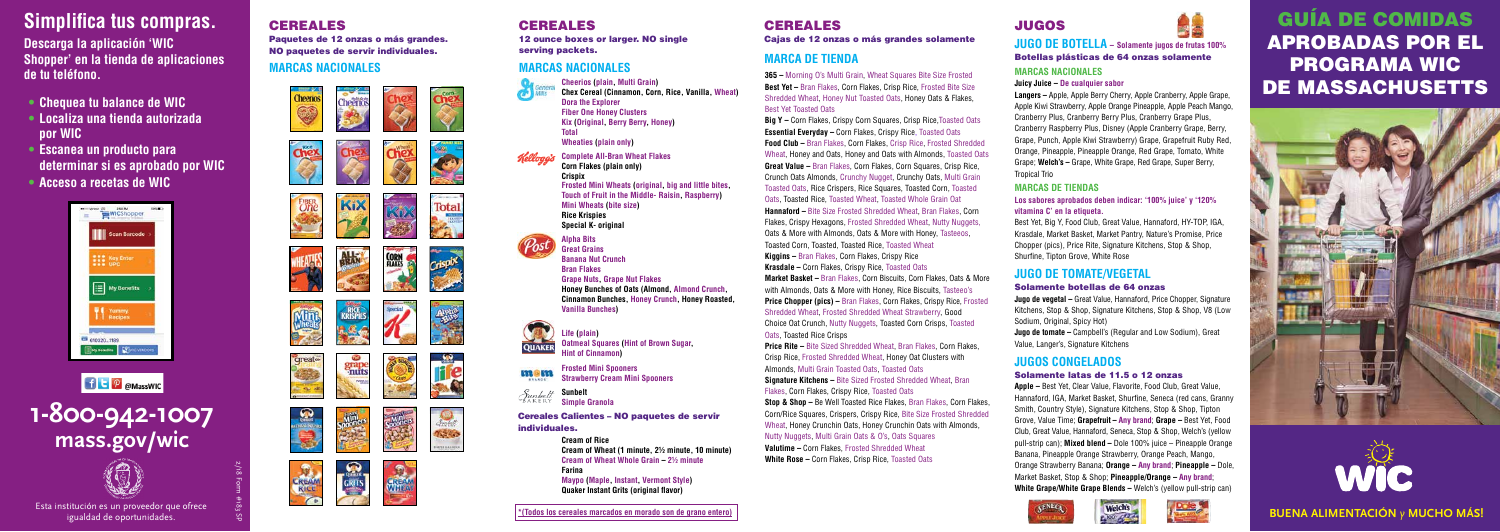# JUGOS



### **JUGO DE BOTELLA – Solamente jugos de frutas 100%** Botellas plásticas de 64 onzas solamente

### **MARCAS NACIONALES**

### **Juicy Juice – De cualquier sabor**

**Langers –** Apple, Apple Berry Cherry, Apple Cranberry, Apple Grape, Apple Kiwi Strawberry, Apple Orange Pineapple, Apple Peach Mango, Cranberry Plus, Cranberry Berry Plus, Cranberry Grape Plus, Cranberry Raspberry Plus, Disney (Apple Cranberry Grape, Berry, Grape, Punch, Apple Kiwi Strawberry) Grape, Grapefruit Ruby Red, Orange, Pineapple, Pineapple Orange, Red Grape, Tomato, White Grape; **Welch's –** Grape, White Grape, Red Grape, Super Berry, Tropical Trio

**Jugo de vegetal –** Great Value, Hannaford, Price Chopper, Signature Kitchens, Stop & Shop, Signature Kitchens, Stop & Shop, V8 (Low Sodium, Original, Spicy Hot)

### **MARCAS DE TIENDAS**

### **Los sabores aprobados deben indicar: '100% juice' y '120% vitamina C' en la etiqueta.**

Best Yet, Big Y, Food Club, Great Value, Hannaford, HY-TOP, IGA, Krasdale, Market Basket, Market Pantry, Nature's Promise, Price Chopper (pics), Price Rite, Signature Kitchens, Stop & Shop, Shurfine, Tipton Grove, White Rose

### **JUGO DE TOMATE/VEGETAL**

### Solamente botellas de 64 onzas

**Jugo de tomate –** Campbell's (Regular and Low Sodium), Great Value, Langer's, Signature Kitchens

### **JUGOS CONGELADOS** Solamente latas de 11.5 o 12 onzas

Esta institución es un proveedor que ofrece  $\frac{8}{56}$  Figure 2014 and a constructión es un proveedor que ofrece  $\frac{8}{56}$  Figure 2016 and the construction es un proveedor que ofrece  $\frac{8}{56}$  Figure 2016 and the constru igualdad de oportunidades.

**Apple –** Best Yet, Clear Value, Flavorite, Food Club, Great Value, Hannaford, IGA, Market Basket, Shurfine, Seneca (red cans, Granny Smith, Country Style), Signature Kitchens, Stop & Shop, Tipton Grove, Value Time; **Grapefruit – Any brand**; **Grape –** Best Yet, Food Club, Great Value, Hannaford, Seneca, Stop & Shop, Welch's (yellow pull-strip can); **Mixed blend –** Dole 100% juice – Pineapple Orange Banana, Pineapple Orange Strawberry, Orange Peach, Mango, Orange Strawberry Banana; **Orange – Any brand**; **Pineapple –** Dole, Market Basket, Stop & Shop; **Pineapple/Orange – Any brand**; **White Grape/White Grape Blends –** Welch's (yellow pull-strip can)





12 ounce boxes or larger. NO single serving packets.

# CEREALES

Cajas de 12 onzas o más grandes solamente

# **MARCA DE TIENDA MARCAS NACIONALES**



# **Simplifica tus compras.**

**Descarga la aplicación 'WIC Shopper' en la tienda de aplicaciones de tu teléfono.** 

- **• Chequea tu balance de WIC**
- **• Localiza una tienda autorizada por WIC**
- **• Escanea un producto para determinar si es aprobado por WIC**
- **• Acceso a recetas de WIC**





# **1-800-942-1007 mass.gov/wic**



2/18 Form #183 SP

# **CEREALES**

Paquetes de 12 onzas o más grandes. NO paquetes de servir individuales. **MARCAS NACIONALES**

# Cheeno Cheerios<br>, G **FIBER** KiX Total **A**  $\mathbf{r}$ 艇 **CORN**<br>FLAKES **HEATES** Crispix RIGHT Alpha<br>Bus Mini Special grape<br>muts **great life**  $\circ$ **Rest READ**

# **CEREALES**

# GUÍA DE COMIDAS APROBADAS POR EL PROGRAMA WIC DE MASSACHUSETTS





**Price Rite – Bite Sized Shredded Wheat, Bran Flakes, Corn Flakes,** Crisp Rice, Frosted Shredded Wheat, Honey Oat Clusters with Almonds, Multi Grain Toasted Oats, Toasted Oats

**Cheerios (plain, Multi Grain) Chex Cereal (Cinnamon, Corn, Rice, Vanilla, Wheat) Dora the Explorer Fiber One Honey Clusters Kix (Original, Berry Berry, Honey) Total Wheaties (plain only) Complete All-Bran Wheat Flakes Corn Flakes (plain only) Crispix Frosted Mini Wheats (original, big and little bites, Touch of Fruit in the Middle- Raisin, Raspberry) Mini Wheats (bite size) Rice Krispies Special K- original Alpha Bits Great Grains Banana Nut Crunch Bran Flakes Grape Nuts, Grape Nut Flakes Honey Bunches of Oats (Almond, Almond Crunch, Cinnamon Bunches, Honey Crunch, Honey Roasted, Vanilla Bunches)**



**Life (plain) Oatmeal Squares (Hint of Brown Sugar, Hint of Cinnamon)**



**Frosted Mini Spooners Strawberry Cream Mini Spooners**

**Sunbelt Simple Granola**

> **Cream of Rice Cream of Wheat (1 minute, 2½ minute, 10 minute) Cream of Wheat Whole Grain – 2½ minute Farina Maypo (Maple, Instant, Vermont Style) Quaker Instant Grits (original flavor)**

Cereales Calientes – NO paquetes de servir individuales.

**365 –** Morning O's Multi Grain, Wheat Squares Bite Size Frosted **Best Yet –** Bran Flakes, Corn Flakes, Crisp Rice, Frosted Bite Size Shredded Wheat, Honey Nut Toasted Oats, Honey Oats & Flakes, Best Yet Toasted Oats

**Big Y –** Corn Flakes, Crispy Corn Squares, Crisp Rice,Toasted Oats **Essential Everyday –** Corn Flakes, Crispy Rice, Toasted Oats **Food Club –** Bran Flakes, Corn Flakes, Crisp Rice, Frosted Shredded Wheat, Honey and Oats, Honey and Oats with Almonds, Toasted Oats **Great Value –** Bran Flakes, Corn Flakes, Corn Squares, Crisp Rice, Crunch Oats Almonds, Crunchy Nugget, Crunchy Oats, Multi Grain Toasted Oats, Rice Crispers, Rice Squares, Toasted Corn, Toasted Oats, Toasted Rice, Toasted Wheat, Toasted Whole Grain Oat **Hannaford –** Bite Size Frosted Shredded Wheat, Bran Flakes, Corn Flakes, Crispy Hexagons, Frosted Shredded Wheat, Nutty Nuggets, Oats & More with Almonds, Oats & More with Honey, Tasteeos,

Toasted Corn, Toasted, Toasted Rice, Toasted Wheat

**Kiggins –** Bran Flakes, Corn Flakes, Crispy Rice

**Krasdale –** Corn Flakes, Crispy Rice, Toasted Oats

**Market Basket –** Bran Flakes, Corn Biscuits, Corn Flakes, Oats & More with Almonds, Oats & More with Honey, Rice Biscuits, Tasteeo's **Price Chopper (pics) – Bran Flakes, Corn Flakes, Crispy Rice, Frosted** Shredded Wheat, Frosted Shredded Wheat Strawberry, Good Choice Oat Crunch, Nutty Nuggets, Toasted Corn Crisps, Toasted Oats, Toasted Rice Crisps

**Signature Kitchens –** Bite Sized Frosted Shredded Wheat, Bran Flakes, Corn Flakes, Crispy Rice, Toasted Oats

**Stop & Shop –** Be Well Toasted Rice Flakes, Bran Flakes, Corn Flakes, Corn/Rice Squares, Crispers, Crispy Rice, Bite Size Frosted Shredded Wheat, Honey Crunchin Oats, Honey Crunchin Oats with Almonds,

Nutty Nuggets, Multi Grain Oats & O's, Oats Squares **Valutime –** Corn Flakes, Frosted Shredded Wheat

**White Rose –** Corn Flakes, Crisp Rice, Toasted Oats